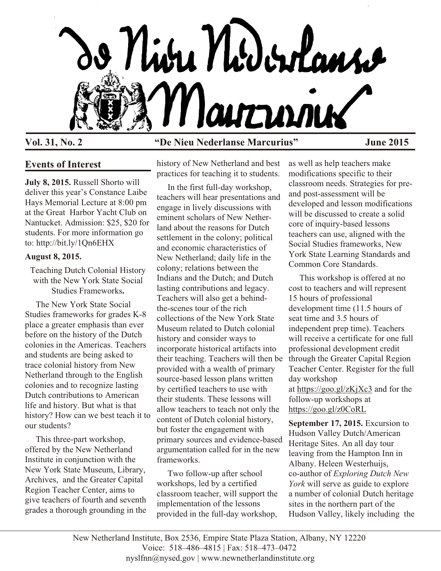

# **Vol. 31, No. 2 "De Nieu Nederlanse Marcurius" June 2015**

## **Events of Interest**

**July 8, 2015.** Russell Shorto will deliver this year's Constance Laibe Hays Memorial Lecture at 8:00 pm at the Great Harbor Yacht Club on Nantucket. Admission: \$25, \$20 for students. For more information go to: http://bit.ly/1Qn6EHX

## **August 8, 2015.**

Teaching Dutch Colonial History with the New York State Social Studies Frameworks**.**

 The New York State Social Studies frameworks for grades K-8 place a greater emphasis than ever before on the history of the Dutch colonies in the Americas. Teachers and students are being asked to trace colonial history from New Netherland through to the English colonies and to recognize lasting Dutch contributions to American life and history. But what is that history? How can we best teach it to our students?

 This three-part workshop, offered by the New Netherland Institute in conjunction with the New York State Museum, Library, Archives, and the Greater Capital Region Teacher Center, aims to give teachers of fourth and seventh grades a thorough grounding in the history of New Netherland and best practices for teaching it to students.

 In the first full-day workshop, teachers will hear presentations and engage in lively discussions with eminent scholars of New Netherland about the reasons for Dutch settlement in the colony; political and economic characteristics of New Netherland; daily life in the colony; relations between the Indians and the Dutch; and Dutch lasting contributions and legacy. Teachers will also get a behindthe-scenes tour of the rich collections of the New York State Museum related to Dutch colonial history and consider ways to incorporate historical artifacts into their teaching. Teachers will then be provided with a wealth of primary source-based lesson plans written by certified teachers to use with their students. These lessons will allow teachers to teach not only the content of Dutch colonial history, but foster the engagement with primary sources and evidence-based argumentation called for in the new frameworks.

 Two follow-up after school workshops, led by a certified classroom teacher, will support the implementation of the lessons provided in the full-day workshop,

as well as help teachers make modifications specific to their classroom needs. Strategies for preand post-assessment will be developed and lesson modifications will be discussed to create a solid core of inquiry-based lessons teachers can use, aligned with the Social Studies frameworks, New York State Learning Standards and Common Core Standards.

 This workshop is offered at no cost to teachers and will represent 15 hours of professional development time (11.5 hours of seat time and 3.5 hours of independent prep time). Teachers will receive a certificate for one full professional development credit through the Greater Capital Region Teacher Center. Register for the full day workshop at [https://goo.gl/zKjXc3](http://r20.rs6.net/tn.jsp?f=001Iv05gmYd4YC7ReDWcI6qqlj2xjr9o_IdPrwzb7PBVmFl1_wQUzAzQZGy53VrpDXRkCOEcF-ua4I3ZNKfD7jVu3XuCHfO0w9WYBg94VT6i0rP66d7NDEpHvcG_EQnjxQoi3ZY6YWlgaP9CSY8elhfMDzGLxdEECYQ63a56QttT5c=&c=t5hs7Vif-uENf3YqNGbwcmlyeySSB00RWCCNAeU1kzBJzjbjpX4V3g==&ch=V1d44AoMVrVIoyFn5z1B0fj9XMQn7BNQy0YBrqGmoGt189leciU8Rw==) and for the follow-up workshops at [https://goo.gl/z0CoRL](http://r20.rs6.net/tn.jsp?f=001Iv05gmYd4YC7ReDWcI6qqlj2xjr9o_IdPrwzb7PBVmFl1_wQUzAzQZGy53VrpDXRSlzLE0_VvnqUPZisyzR81a34DZ3JAUKXrVizJ0tcDdzbawuItLyTeqWUvhJjuNBR4sDe8Aw3mUhQg4Q1YBQhLW7AR3NG87eQc-gIymNTefQ=&c=t5hs7Vif-uENf3YqNGbwcmlyeySSB00RWCCNAeU1kzBJzjbjpX4V3g==&ch=V1d44AoMVrVIoyFn5z1B0fj9XMQn7BNQy0YBrqGmoGt189leciU8Rw==)

**September 17, 2015.** Excursion to Hudson Valley Dutch/American Heritage Sites. An all day tour leaving from the Hampton Inn in Albany. Heleen Westerhuijs, co-author of *Exploring Dutch New York* will serve as guide to explore a number of colonial Dutch heritage sites in the northern part of the Hudson Valley, likely including the

New Netherland Institute, Box 2536, Empire State Plaza Station, Albany, NY 12220 Voice: 518–486–4815 | Fax: 518–473–0472 nyslfnn@nysed.gov | www.newnetherlandinstitute.org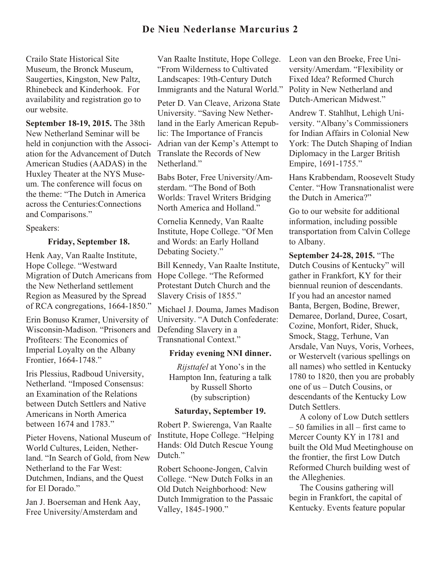## **De Nieu Nederlanse Marcurius 2**

Crailo State Historical Site Museum, the Bronck Museum, Saugerties, Kingston, New Paltz, Rhinebeck and Kinderhook. For availability and registration go to our website.

**September 18-19, 2015.** The 38th New Netherland Seminar will be held in conjunction with the Association for the Advancement of Dutch American Studies (AADAS) in the Huxley Theater at the NYS Museum. The conference will focus on the theme: "The Dutch in America across the Centuries:Connections and Comparisons."

Speakers:

### **Friday, September 18.**

Henk Aay, Van Raalte Institute, Hope College. "Westward Migration of Dutch Americans from the New Netherland settlement Region as Measured by the Spread of RCA congregations, 1664-1850."

Erin Bonuso Kramer, University of Wisconsin-Madison. "Prisoners and Profiteers: The Economics of Imperial Loyalty on the Albany Frontier, 1664-1748."

Iris Plessius, Radboud University, Netherland. "Imposed Consensus: an Examination of the Relations between Dutch Settlers and Native Americans in North America between 1674 and 1783."

Pieter Hovens, National Museum of World Cultures, Leiden, Netherland. "In Search of Gold, from New Netherland to the Far West: Dutchmen, Indians, and the Quest for El Dorado."

Jan J. Boerseman and Henk Aay, Free University/Amsterdam and

Van Raalte Institute, Hope College. "From Wilderness to Cultivated Landscapes: 19th-Century Dutch Immigrants and the Natural World."

Peter D. Van Cleave, Arizona State University. "Saving New Netherland in the Early American Republic: The Importance of Francis Adrian van der Kemp's Attempt to Translate the Records of New Netherland."

Babs Boter, Free University/Amsterdam. "The Bond of Both Worlds: Travel Writers Bridging North America and Holland"

Cornelia Kennedy, Van Raalte Institute, Hope College. "Of Men and Words: an Early Holland Debating Society."

Bill Kennedy, Van Raalte Institute, Hope College. "The Reformed Protestant Dutch Church and the Slavery Crisis of 1855."

Michael J. Douma, James Madison University. "A Dutch Confederate: Defending Slavery in a Transnational Context."

#### **Friday evening NNI dinner.**

*Rijsttafel* at Yono's in the Hampton Inn, featuring a talk by Russell Shorto (by subscription)

## **Saturday, September 19.**

Robert P. Swierenga, Van Raalte Institute, Hope College. "Helping Hands: Old Dutch Rescue Young Dutch."

Robert Schoone-Jongen, Calvin College. "New Dutch Folks in an Old Dutch Neighborhood: New Dutch Immigration to the Passaic Valley, 1845-1900."

Leon van den Broeke, Free University/Amerdam. "Flexibility or Fixed Idea? Reformed Church Polity in New Netherland and Dutch-American Midwest."

Andrew T. Stahlhut, Lehigh University. "Albany's Commissioners for Indian Affairs in Colonial New York: The Dutch Shaping of Indian Diplomacy in the Larger British Empire, 1691-1755."

Hans Krabbendam, Roosevelt Study Center. "How Transnationalist were the Dutch in America?"

Go to our website for additional information, including possible transportation from Calvin College to Albany.

**September 24-28, 2015.** "The Dutch Cousins of Kentucky" will gather in Frankfort, KY for their biennual reunion of descendants. If you had an ancestor named Banta, Bergen, Bodine, Brewer, Demaree, Dorland, Duree, Cosart, Cozine, Monfort, Rider, Shuck, Smock, Stagg, Terhune, Van Arsdale, Van Nuys, Voris, Vorhees, or Westervelt (various spellings on all names) who settled in Kentucky 1780 to 1820, then you are probably one of us – Dutch Cousins, or descendants of the Kentucky Low Dutch Settlers.

 A colony of Low Dutch settlers – 50 families in all – first came to Mercer County KY in 1781 and built the Old Mud Meetinghouse on the frontier, the first Low Dutch Reformed Church building west of the Alleghenies.

 The Cousins gathering will begin in Frankfort, the capital of Kentucky. Events feature popular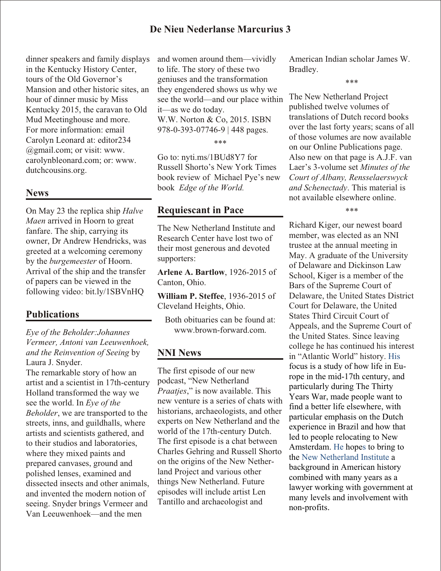## **De Nieu Nederlanse Marcurius 3**

dinner speakers and family displays in the Kentucky History Center, tours of the Old Governor's Mansion and other historic sites, an hour of dinner music by Miss Kentucky 2015, the caravan to Old Mud Meetinghouse and more. For more information: email Carolyn Leonard at: editor234 @gmail.com; or visit: www. carolynbleonard.com; or: www. dutchcousins.org.

### **News**

On May 23 the replica ship *Halve Maen* arrived in Hoorn to great fanfare. The ship, carrying its owner, Dr Andrew Hendricks, was greeted at a welcoming ceremony by the *burgemeester* of Hoorn. Arrival of the ship and the transfer of papers can be viewed in the following video: bit.ly/1SBVnHQ

## **Publications**

*Eye of the Beholder:Johannes Vermeer, Antoni van Leeuwenhoek, and the Reinvention of Seeing* by Laura J. Snyder.

The remarkable story of how an artist and a scientist in 17th-century Holland transformed the way we see the world. In *Eye of the Beholder*, we are transported to the streets, inns, and guildhalls, where artists and scientists gathered, and to their studios and laboratories, where they mixed paints and prepared canvases, ground and polished lenses, examined and dissected insects and other animals, and invented the modern notion of seeing. Snyder brings Vermeer and Van Leeuwenhoek—and the men

and women around them—vividly to life. The story of these two geniuses and the transformation they engendered shows us why we see the world—and our place within it—as we do today. W.W. Norton & Co, 2015. ISBN 978-0-393-07746-9 | 448 pages.

\*\*\*

Go to: nyti.ms/1BUd8Y7 for Russell Shorto's New York Times book review of Michael Pye's new book *Edge of the World.*

## **Requiescant in Pace**

The New Netherland Institute and Research Center have lost two of their most generous and devoted supporters:

**Arlene A. Bartlow**, 1926-2015 of Canton, Ohio.

**William P. Steffee**, 1936-2015 of Cleveland Heights, Ohio.

Both obituaries can be found at: www.brown-forward.com.

## **NNI News**

The first episode of our new podcast, "New Netherland *Praatjes*," is now available. This new venture is a series of chats with historians, archaeologists, and other experts on New Netherland and the world of the 17th-century Dutch. The first episode is a chat between Charles Gehring and Russell Shorto on the origins of the New Netherland Project and various other things New Netherland. Future episodes will include artist Len Tantillo and archaeologist and

American Indian scholar James W. Bradley.

\*\*\*

The New Netherland Project published twelve volumes of translations of Dutch record books over the last forty years; scans of all of those volumes are now available on our Online Publications page. Also new on that page is A.J.F. van Laer's 3-volume set *Minutes of the Court of Albany, Rensselaerswyck and Schenectady*. This material is not available elsewhere online.

\*\*\*

Richard Kiger, our newest board member, was elected as an NNI trustee at the annual meeting in May. A graduate of the University of Delaware and Dickinson Law School, Kiger is a member of the Bars of the Supreme Court of Delaware, the United States District Court for Delaware, the United States Third Circuit Court of Appeals, and the Supreme Court of the United States. Since leaving college he has continued his interest in "Atlantic World" history. His focus is a study of how life in Europe in the mid-17th century, and particularly during The Thirty Years War, made people want to find a better life elsewhere, with particular emphasis on the Dutch experience in Brazil and how that led to people relocating to New Amsterdam. He hopes to bring to the New Netherland Institute a background in American history combined with many years as a lawyer working with government at many levels and involvement with non-profits.